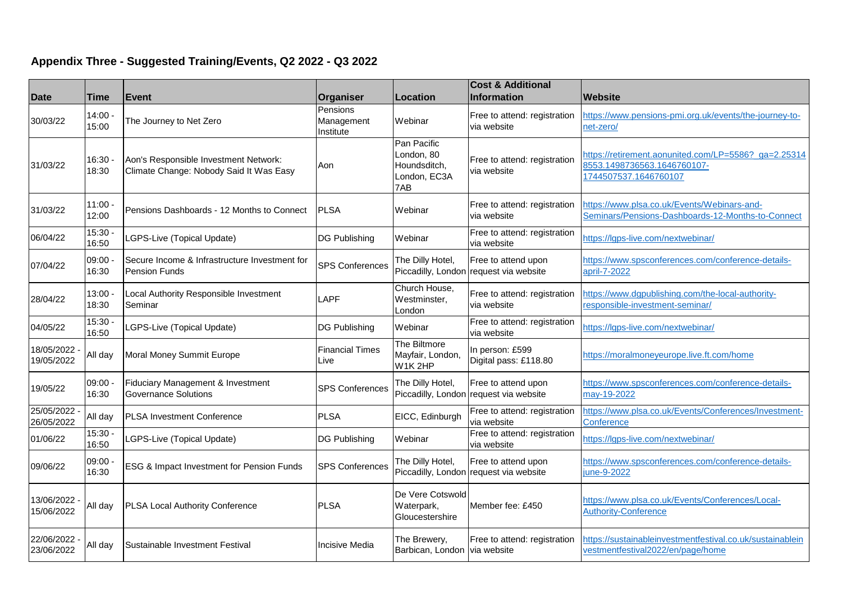## **Appendix Three - Suggested Training/Events, Q2 2022 - Q3 2022**

| <b>Date</b>              | Time               | <b>Event</b>                                                                     | Organiser                           | Location                                                         | <b>Cost &amp; Additional</b><br><b>Information</b>            | Website                                                                                                      |
|--------------------------|--------------------|----------------------------------------------------------------------------------|-------------------------------------|------------------------------------------------------------------|---------------------------------------------------------------|--------------------------------------------------------------------------------------------------------------|
| 30/03/22                 | 14:00.<br>15:00    | The Journey to Net Zero                                                          | Pensions<br>Management<br>Institute | Webinar                                                          | Free to attend: registration<br>via website                   | https://www.pensions-pmi.org.uk/events/the-journey-to-<br>net-zero/                                          |
| 31/03/22                 | 16:30<br>18:30     | Aon's Responsible Investment Network:<br>Climate Change: Nobody Said It Was Easy | Aon                                 | Pan Pacific<br>London, 80<br>Houndsditch,<br>London, EC3A<br>7AB | Free to attend: registration<br>via website                   | https://retirement.aonunited.com/LP=5586? ga=2.25314<br>8553.1498736563.1646760107-<br>1744507537.1646760107 |
| 31/03/22                 | 11:00<br>12:00     | Pensions Dashboards - 12 Months to Connect                                       | <b>PLSA</b>                         | Webinar                                                          | Free to attend: registration<br>via website                   | https://www.plsa.co.uk/Events/Webinars-and-<br>Seminars/Pensions-Dashboards-12-Months-to-Connect             |
| 06/04/22                 | 15:30<br>16:50     | LGPS-Live (Topical Update)                                                       | <b>DG Publishing</b>                | Webinar                                                          | Free to attend: registration<br>via website                   | https://lgps-live.com/nextwebinar/                                                                           |
| 07/04/22                 | 09:00<br>16:30     | Secure Income & Infrastructure Investment for<br><b>Pension Funds</b>            | <b>SPS Conferences</b>              | The Dilly Hotel,                                                 | Free to attend upon<br>Piccadilly, London request via website | https://www.spsconferences.com/conference-details-<br>april-7-2022                                           |
| 28/04/22                 | 13:00.<br>18:30    | Local Authority Responsible Investment<br>Seminar                                | <b>LAPF</b>                         | Church House,<br>Westminster,<br>London                          | Free to attend: registration<br>via website                   | https://www.dgpublishing.com/the-local-authority-<br>responsible-investment-seminar/                         |
| 04/05/22                 | $15:30 -$<br>16:50 | LGPS-Live (Topical Update)                                                       | <b>DG Publishing</b>                | Webinar                                                          | Free to attend: registration<br>via website                   | https://lgps-live.com/nextwebinar/                                                                           |
| 18/05/2022<br>19/05/2022 | All day            | Moral Money Summit Europe                                                        | <b>Financial Times</b><br>Live      | The Biltmore<br>Mayfair, London,<br>W1K2HP                       | In person: £599<br>Digital pass: £118.80                      | https://moralmoneyeurope.live.ft.com/home                                                                    |
| 19/05/22                 | $09:00 -$<br>16:30 | Fiduciary Management & Investment<br><b>Governance Solutions</b>                 | <b>SPS Conferences</b>              | The Dilly Hotel,                                                 | Free to attend upon<br>Piccadilly, London request via website | https://www.spsconferences.com/conference-details-<br>may-19-2022                                            |
| 25/05/2022<br>26/05/2022 | All day            | <b>PLSA Investment Conference</b>                                                | PLSA                                | EICC, Edinburgh                                                  | Free to attend: registration<br>via website                   | https://www.plsa.co.uk/Events/Conferences/Investment-<br>Conference                                          |
| 01/06/22                 | 15:30.<br>16:50    | LGPS-Live (Topical Update)                                                       | <b>DG Publishing</b>                | Webinar                                                          | Free to attend: registration<br>via website                   | https://lgps-live.com/nextwebinar/                                                                           |
| 09/06/22                 | 09:00<br>16:30     | ESG & Impact Investment for Pension Funds                                        | <b>SPS Conferences</b>              | The Dilly Hotel,                                                 | Free to attend upon<br>Piccadilly, London request via website | https://www.spsconferences.com/conference-details-<br>june-9-2022                                            |
| 13/06/2022<br>15/06/2022 | All dav            | PLSA Local Authority Conference                                                  | <b>PLSA</b>                         | De Vere Cotswold<br>Waterpark,<br>Gloucestershire                | Member fee: £450                                              | https://www.plsa.co.uk/Events/Conferences/Local-<br><b>Authority-Conference</b>                              |
| 22/06/2022<br>23/06/2022 | All dav            | Sustainable Investment Festival                                                  | <b>Incisive Media</b>               | The Brewery,<br>Barbican, London via website                     | Free to attend: registration                                  | https://sustainableinvestmentfestival.co.uk/sustainablein<br>vestmentfestival2022/en/page/home               |